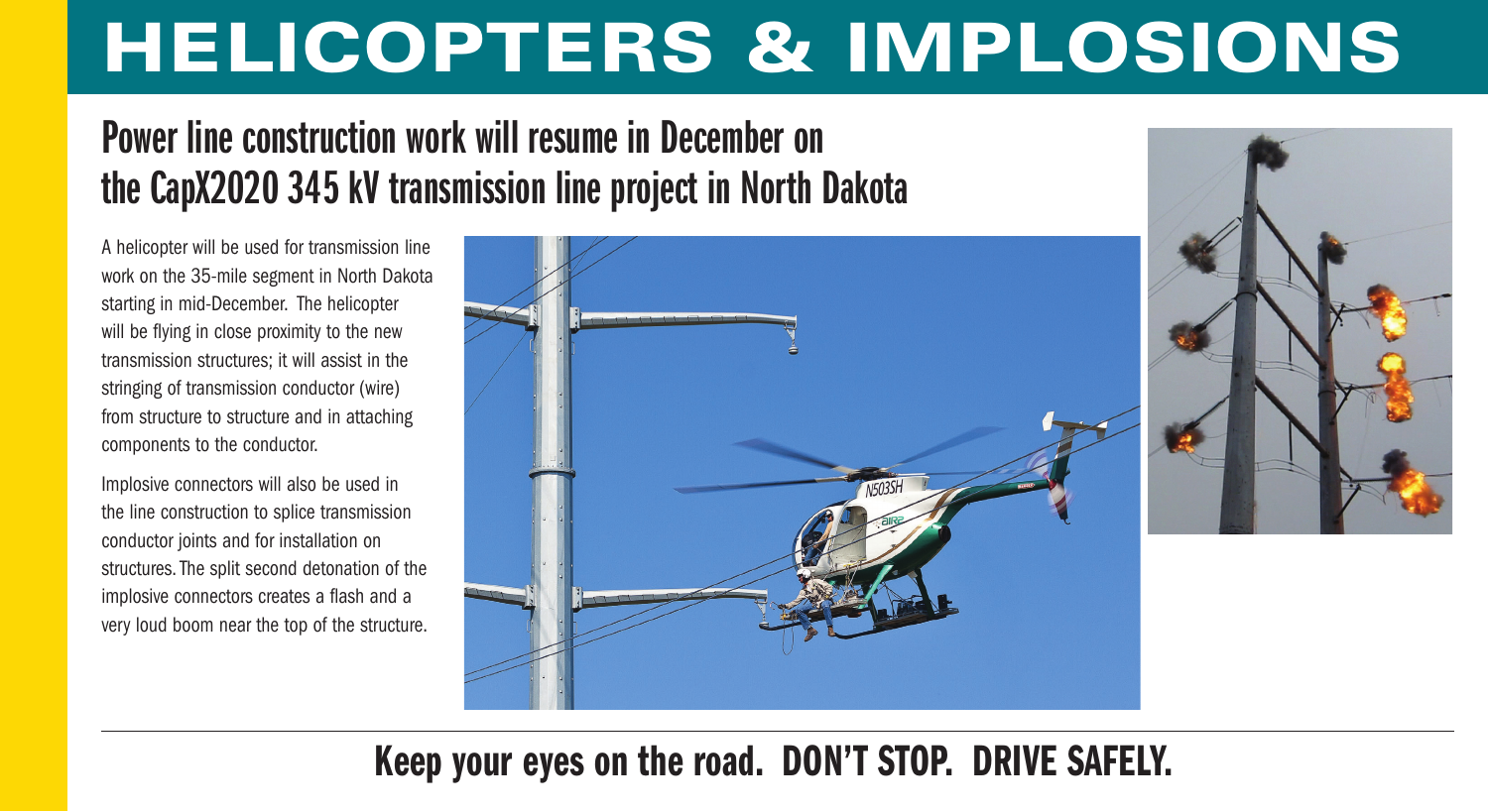# **HELICOPTERS & IMPLOSIONS**

## **Power line construction work will resume in December on the CapX2020 345 kV transmission line project in North Dakota**

A helicopter will be used for transmission line work on the 35-mile segment in North Dakota starting in mid-December. The helicopter will be flying in close proximity to the new transmission structures; it will assist in the stringing of transmission conductor (wire) from structure to structure and in attaching components to the conductor.

Implosive connectors will also be used in the line construction to splice transmission conductor joints and for installation on structures. The split second detonation of the implosive connectors creates a flash and a very loud boom near the top of the structure.



## **Keep your eyes on the road. DON'T STOP. DRIVE SAFELY.**